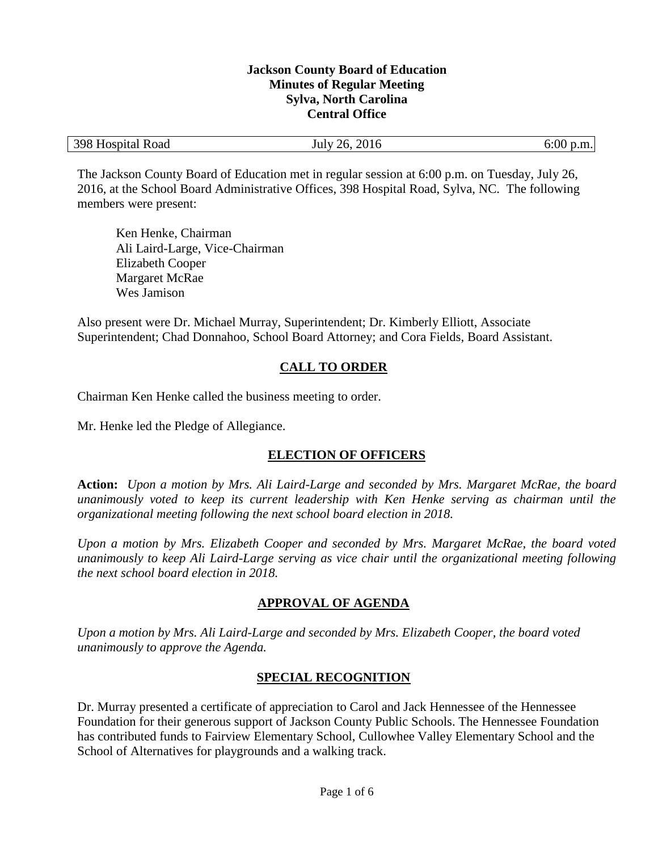#### **Jackson County Board of Education Minutes of Regular Meeting Sylva, North Carolina Central Office**

| $-398$ <sup>T</sup><br>Hospital Road | 2016<br>26.<br>July | 6:00<br><b>Service</b><br>റ:<br>D.III.I |
|--------------------------------------|---------------------|-----------------------------------------|
|--------------------------------------|---------------------|-----------------------------------------|

The Jackson County Board of Education met in regular session at 6:00 p.m. on Tuesday, July 26, 2016, at the School Board Administrative Offices, 398 Hospital Road, Sylva, NC. The following members were present:

Ken Henke, Chairman Ali Laird-Large, Vice-Chairman Elizabeth Cooper Margaret McRae Wes Jamison

Also present were Dr. Michael Murray, Superintendent; Dr. Kimberly Elliott, Associate Superintendent; Chad Donnahoo, School Board Attorney; and Cora Fields, Board Assistant.

# **CALL TO ORDER**

Chairman Ken Henke called the business meeting to order.

Mr. Henke led the Pledge of Allegiance.

# **ELECTION OF OFFICERS**

**Action:** *Upon a motion by Mrs. Ali Laird-Large and seconded by Mrs. Margaret McRae, the board unanimously voted to keep its current leadership with Ken Henke serving as chairman until the organizational meeting following the next school board election in 2018.*

*Upon a motion by Mrs. Elizabeth Cooper and seconded by Mrs. Margaret McRae, the board voted unanimously to keep Ali Laird-Large serving as vice chair until the organizational meeting following the next school board election in 2018.*

# **APPROVAL OF AGENDA**

*Upon a motion by Mrs. Ali Laird-Large and seconded by Mrs. Elizabeth Cooper, the board voted unanimously to approve the Agenda.*

### **SPECIAL RECOGNITION**

Dr. Murray presented a certificate of appreciation to Carol and Jack Hennessee of the Hennessee Foundation for their generous support of Jackson County Public Schools. The Hennessee Foundation has contributed funds to Fairview Elementary School, Cullowhee Valley Elementary School and the School of Alternatives for playgrounds and a walking track.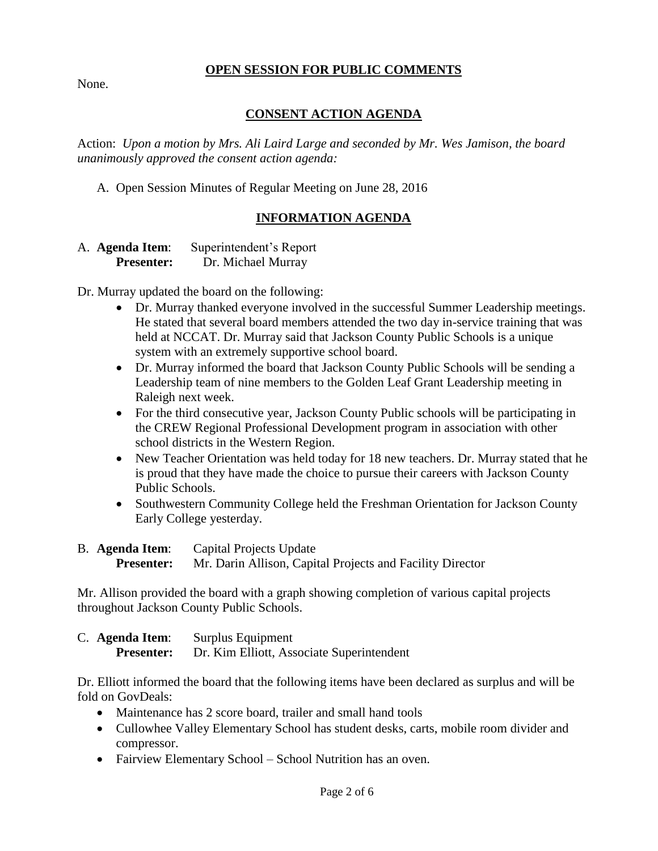#### **OPEN SESSION FOR PUBLIC COMMENTS**

None.

# **CONSENT ACTION AGENDA**

Action: *Upon a motion by Mrs. Ali Laird Large and seconded by Mr. Wes Jamison, the board unanimously approved the consent action agenda:*

A. Open Session Minutes of Regular Meeting on June 28, 2016

## **INFORMATION AGENDA**

A. **Agenda Item**: Superintendent's Report **Presenter:** Dr. Michael Murray

Dr. Murray updated the board on the following:

- Dr. Murray thanked everyone involved in the successful Summer Leadership meetings. He stated that several board members attended the two day in-service training that was held at NCCAT. Dr. Murray said that Jackson County Public Schools is a unique system with an extremely supportive school board.
- Dr. Murray informed the board that Jackson County Public Schools will be sending a Leadership team of nine members to the Golden Leaf Grant Leadership meeting in Raleigh next week.
- For the third consecutive year, Jackson County Public schools will be participating in the CREW Regional Professional Development program in association with other school districts in the Western Region.
- New Teacher Orientation was held today for 18 new teachers. Dr. Murray stated that he is proud that they have made the choice to pursue their careers with Jackson County Public Schools.
- Southwestern Community College held the Freshman Orientation for Jackson County Early College yesterday.
- B. **Agenda Item**: Capital Projects Update **Presenter:** Mr. Darin Allison, Capital Projects and Facility Director

Mr. Allison provided the board with a graph showing completion of various capital projects throughout Jackson County Public Schools.

C. **Agenda Item**: Surplus Equipment **Presenter:** Dr. Kim Elliott, Associate Superintendent

Dr. Elliott informed the board that the following items have been declared as surplus and will be fold on GovDeals:

- Maintenance has 2 score board, trailer and small hand tools
- Cullowhee Valley Elementary School has student desks, carts, mobile room divider and compressor.
- Fairview Elementary School School Nutrition has an oven.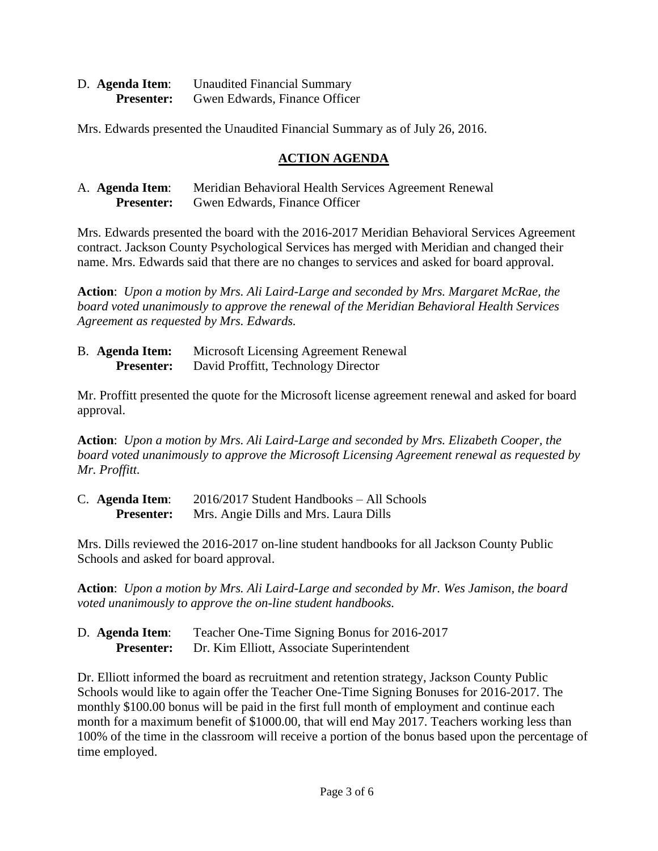| D. Agenda Item:   | <b>Unaudited Financial Summary</b> |
|-------------------|------------------------------------|
| <b>Presenter:</b> | Gwen Edwards, Finance Officer      |

Mrs. Edwards presented the Unaudited Financial Summary as of July 26, 2016.

### **ACTION AGENDA**

| A. <b>Agenda Item</b> : | Meridian Behavioral Health Services Agreement Renewal |
|-------------------------|-------------------------------------------------------|
| <b>Presenter:</b>       | Gwen Edwards, Finance Officer                         |

Mrs. Edwards presented the board with the 2016-2017 Meridian Behavioral Services Agreement contract. Jackson County Psychological Services has merged with Meridian and changed their name. Mrs. Edwards said that there are no changes to services and asked for board approval.

**Action**: *Upon a motion by Mrs. Ali Laird-Large and seconded by Mrs. Margaret McRae, the board voted unanimously to approve the renewal of the Meridian Behavioral Health Services Agreement as requested by Mrs. Edwards.*

B. **Agenda Item:** Microsoft Licensing Agreement Renewal **Presenter:** David Proffitt, Technology Director

Mr. Proffitt presented the quote for the Microsoft license agreement renewal and asked for board approval.

**Action**: *Upon a motion by Mrs. Ali Laird-Large and seconded by Mrs. Elizabeth Cooper, the board voted unanimously to approve the Microsoft Licensing Agreement renewal as requested by Mr. Proffitt.* 

C. **Agenda Item**: 2016/2017 Student Handbooks – All Schools **Presenter:** Mrs. Angie Dills and Mrs. Laura Dills

Mrs. Dills reviewed the 2016-2017 on-line student handbooks for all Jackson County Public Schools and asked for board approval.

**Action**: *Upon a motion by Mrs. Ali Laird-Large and seconded by Mr. Wes Jamison, the board voted unanimously to approve the on-line student handbooks.* 

| D. Agenda Item:   | Teacher One-Time Signing Bonus for 2016-2017 |
|-------------------|----------------------------------------------|
| <b>Presenter:</b> | Dr. Kim Elliott, Associate Superintendent    |

Dr. Elliott informed the board as recruitment and retention strategy, Jackson County Public Schools would like to again offer the Teacher One-Time Signing Bonuses for 2016-2017. The monthly \$100.00 bonus will be paid in the first full month of employment and continue each month for a maximum benefit of \$1000.00, that will end May 2017. Teachers working less than 100% of the time in the classroom will receive a portion of the bonus based upon the percentage of time employed.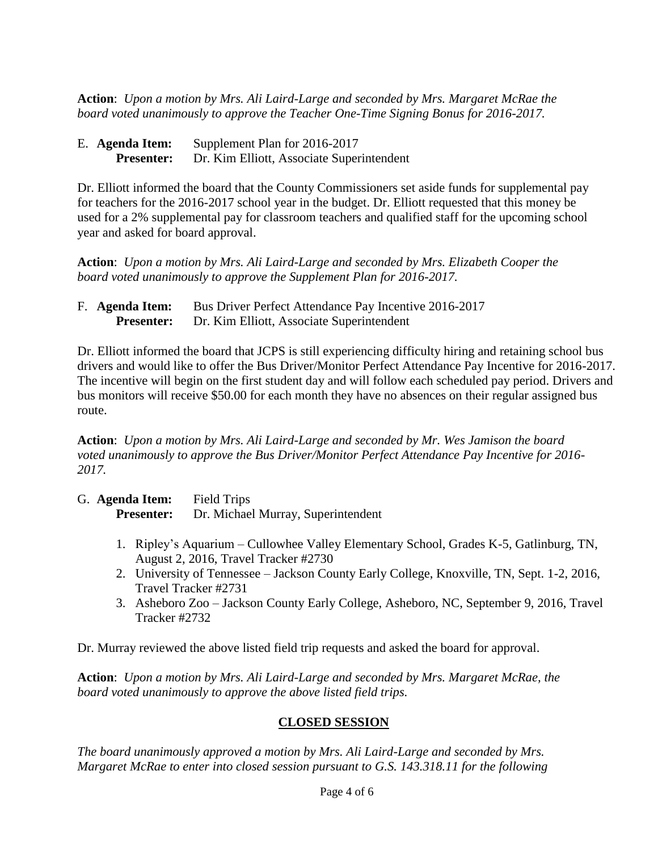**Action**: *Upon a motion by Mrs. Ali Laird-Large and seconded by Mrs. Margaret McRae the board voted unanimously to approve the Teacher One-Time Signing Bonus for 2016-2017.*

| E. Agenda Item:   | Supplement Plan for 2016-2017             |
|-------------------|-------------------------------------------|
| <b>Presenter:</b> | Dr. Kim Elliott, Associate Superintendent |

Dr. Elliott informed the board that the County Commissioners set aside funds for supplemental pay for teachers for the 2016-2017 school year in the budget. Dr. Elliott requested that this money be used for a 2% supplemental pay for classroom teachers and qualified staff for the upcoming school year and asked for board approval.

**Action**: *Upon a motion by Mrs. Ali Laird-Large and seconded by Mrs. Elizabeth Cooper the board voted unanimously to approve the Supplement Plan for 2016-2017.*

| F. Agenda Item:   | Bus Driver Perfect Attendance Pay Incentive 2016-2017 |
|-------------------|-------------------------------------------------------|
| <b>Presenter:</b> | Dr. Kim Elliott, Associate Superintendent             |

Dr. Elliott informed the board that JCPS is still experiencing difficulty hiring and retaining school bus drivers and would like to offer the Bus Driver/Monitor Perfect Attendance Pay Incentive for 2016-2017. The incentive will begin on the first student day and will follow each scheduled pay period. Drivers and bus monitors will receive \$50.00 for each month they have no absences on their regular assigned bus route.

**Action**: *Upon a motion by Mrs. Ali Laird-Large and seconded by Mr. Wes Jamison the board voted unanimously to approve the Bus Driver/Monitor Perfect Attendance Pay Incentive for 2016- 2017.*

| G. Agenda Item:   | <b>Field Trips</b>                 |
|-------------------|------------------------------------|
| <b>Presenter:</b> | Dr. Michael Murray, Superintendent |

- 1. Ripley's Aquarium Cullowhee Valley Elementary School, Grades K-5, Gatlinburg, TN, August 2, 2016, Travel Tracker #2730
- 2. University of Tennessee Jackson County Early College, Knoxville, TN, Sept. 1-2, 2016, Travel Tracker #2731
- 3. Asheboro Zoo Jackson County Early College, Asheboro, NC, September 9, 2016, Travel Tracker #2732

Dr. Murray reviewed the above listed field trip requests and asked the board for approval.

**Action**: *Upon a motion by Mrs. Ali Laird-Large and seconded by Mrs. Margaret McRae, the board voted unanimously to approve the above listed field trips.*

# **CLOSED SESSION**

*The board unanimously approved a motion by Mrs. Ali Laird-Large and seconded by Mrs. Margaret McRae to enter into closed session pursuant to G.S. 143.318.11 for the following*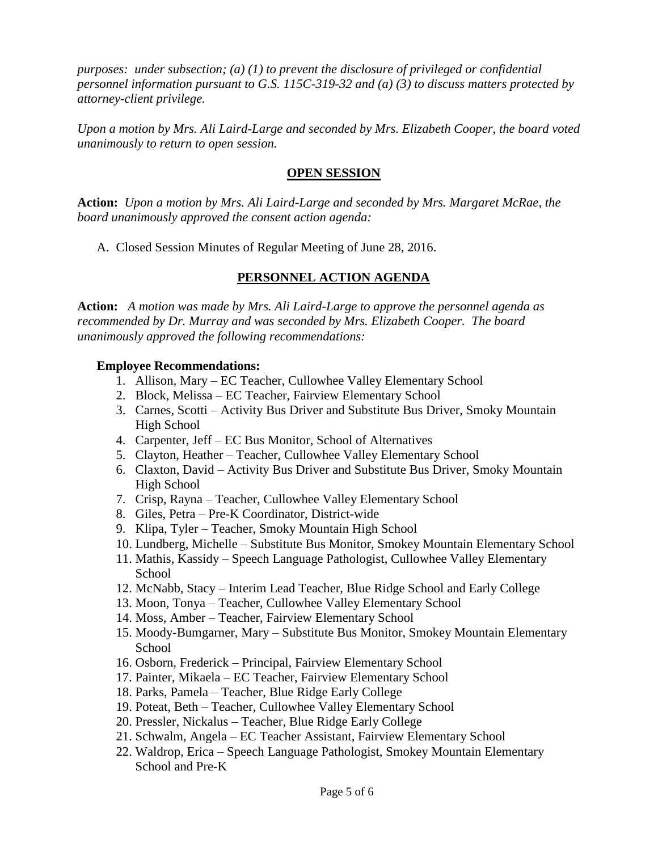*purposes: under subsection; (a) (1) to prevent the disclosure of privileged or confidential personnel information pursuant to G.S. 115C-319-32 and (a) (3) to discuss matters protected by attorney-client privilege.* 

*Upon a motion by Mrs. Ali Laird-Large and seconded by Mrs. Elizabeth Cooper, the board voted unanimously to return to open session.*

#### **OPEN SESSION**

**Action:** *Upon a motion by Mrs. Ali Laird-Large and seconded by Mrs. Margaret McRae, the board unanimously approved the consent action agenda:*

A. Closed Session Minutes of Regular Meeting of June 28, 2016.

## **PERSONNEL ACTION AGENDA**

**Action:** *A motion was made by Mrs. Ali Laird-Large to approve the personnel agenda as recommended by Dr. Murray and was seconded by Mrs. Elizabeth Cooper. The board unanimously approved the following recommendations:*

#### **Employee Recommendations:**

- 1. Allison, Mary EC Teacher, Cullowhee Valley Elementary School
- 2. Block, Melissa EC Teacher, Fairview Elementary School
- 3. Carnes, Scotti Activity Bus Driver and Substitute Bus Driver, Smoky Mountain High School
- 4. Carpenter, Jeff EC Bus Monitor, School of Alternatives
- 5. Clayton, Heather Teacher, Cullowhee Valley Elementary School
- 6. Claxton, David Activity Bus Driver and Substitute Bus Driver, Smoky Mountain High School
- 7. Crisp, Rayna Teacher, Cullowhee Valley Elementary School
- 8. Giles, Petra Pre-K Coordinator, District-wide
- 9. Klipa, Tyler Teacher, Smoky Mountain High School
- 10. Lundberg, Michelle Substitute Bus Monitor, Smokey Mountain Elementary School
- 11. Mathis, Kassidy Speech Language Pathologist, Cullowhee Valley Elementary School
- 12. McNabb, Stacy Interim Lead Teacher, Blue Ridge School and Early College
- 13. Moon, Tonya Teacher, Cullowhee Valley Elementary School
- 14. Moss, Amber Teacher, Fairview Elementary School
- 15. Moody-Bumgarner, Mary Substitute Bus Monitor, Smokey Mountain Elementary School
- 16. Osborn, Frederick Principal, Fairview Elementary School
- 17. Painter, Mikaela EC Teacher, Fairview Elementary School
- 18. Parks, Pamela Teacher, Blue Ridge Early College
- 19. Poteat, Beth Teacher, Cullowhee Valley Elementary School
- 20. Pressler, Nickalus Teacher, Blue Ridge Early College
- 21. Schwalm, Angela EC Teacher Assistant, Fairview Elementary School
- 22. Waldrop, Erica Speech Language Pathologist, Smokey Mountain Elementary School and Pre-K